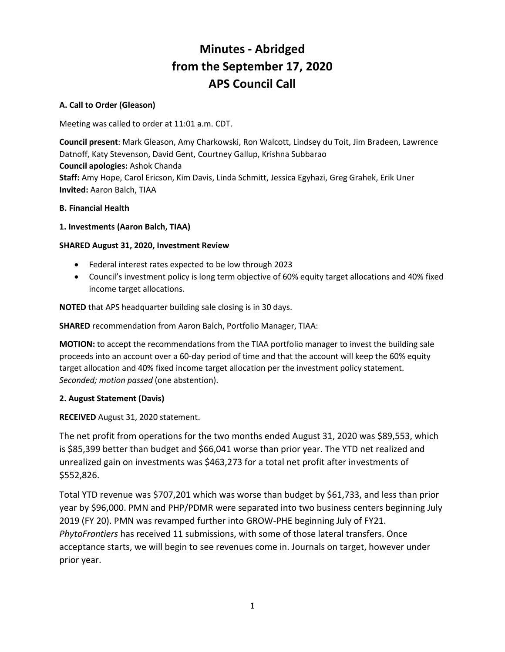# **Minutes - Abridged from the September 17, 2020 APS Council Call**

## **A. Call to Order (Gleason)**

Meeting was called to order at 11:01 a.m. CDT.

**Council present**: Mark Gleason, Amy Charkowski, Ron Walcott, Lindsey du Toit, Jim Bradeen, Lawrence Datnoff, Katy Stevenson, David Gent, Courtney Gallup, Krishna Subbarao **Council apologies:** Ashok Chanda **Staff:** Amy Hope, Carol Ericson, Kim Davis, Linda Schmitt, Jessica Egyhazi, Greg Grahek, Erik Uner **Invited:** Aaron Balch, TIAA

## **B. Financial Health**

## **1. Investments (Aaron Balch, TIAA)**

## **SHARED August 31, 2020, Investment Review**

- Federal interest rates expected to be low through 2023
- Council's investment policy is long term objective of 60% equity target allocations and 40% fixed income target allocations.

**NOTED** that APS headquarter building sale closing is in 30 days.

**SHARED** recommendation from Aaron Balch, Portfolio Manager, TIAA:

**MOTION:** to accept the recommendations from the TIAA portfolio manager to invest the building sale proceeds into an account over a 60-day period of time and that the account will keep the 60% equity target allocation and 40% fixed income target allocation per the investment policy statement. *Seconded; motion passed* (one abstention).

## **2. August Statement (Davis)**

**RECEIVED** August 31, 2020 statement.

The net profit from operations for the two months ended August 31, 2020 was \$89,553, which is \$85,399 better than budget and \$66,041 worse than prior year. The YTD net realized and unrealized gain on investments was \$463,273 for a total net profit after investments of \$552,826.

Total YTD revenue was \$707,201 which was worse than budget by \$61,733, and less than prior year by \$96,000. PMN and PHP/PDMR were separated into two business centers beginning July 2019 (FY 20). PMN was revamped further into GROW-PHE beginning July of FY21. *PhytoFrontiers* has received 11 submissions, with some of those lateral transfers. Once acceptance starts, we will begin to see revenues come in. Journals on target, however under prior year.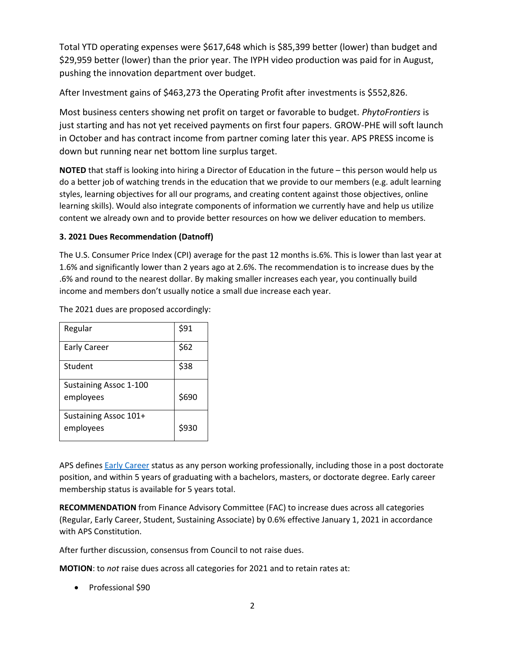Total YTD operating expenses were \$617,648 which is \$85,399 better (lower) than budget and \$29,959 better (lower) than the prior year. The IYPH video production was paid for in August, pushing the innovation department over budget.

After Investment gains of \$463,273 the Operating Profit after investments is \$552,826.

Most business centers showing net profit on target or favorable to budget. *PhytoFrontiers* is just starting and has not yet received payments on first four papers. GROW-PHE will soft launch in October and has contract income from partner coming later this year. APS PRESS income is down but running near net bottom line surplus target.

**NOTED** that staff is looking into hiring a Director of Education in the future – this person would help us do a better job of watching trends in the education that we provide to our members (e.g. adult learning styles, learning objectives for all our programs, and creating content against those objectives, online learning skills). Would also integrate components of information we currently have and help us utilize content we already own and to provide better resources on how we deliver education to members.

## **3. 2021 Dues Recommendation (Datnoff)**

The U.S. Consumer Price Index (CPI) average for the past 12 months is.6%. This is lower than last year at 1.6% and significantly lower than 2 years ago at 2.6%. The recommendation is to increase dues by the .6% and round to the nearest dollar. By making smaller increases each year, you continually build income and members don't usually notice a small due increase each year.

| Regular                | \$91  |
|------------------------|-------|
| <b>Early Career</b>    | \$62  |
| Student                | \$38  |
| Sustaining Assoc 1-100 |       |
| employees              | \$690 |
| Sustaining Assoc 101+  |       |
| employees              | \$930 |

The 2021 dues are proposed accordingly:

APS defines [Early Career](https://www.apsnet.org/members/community/join/Pages/EarlyCareer.aspx) status as any person working professionally, including those in a post doctorate position, and within 5 years of graduating with a bachelors, masters, or doctorate degree. Early career membership status is available for 5 years total.

**RECOMMENDATION** from Finance Advisory Committee (FAC) to increase dues across all categories (Regular, Early Career, Student, Sustaining Associate) by 0.6% effective January 1, 2021 in accordance with APS Constitution.

After further discussion, consensus from Council to not raise dues.

**MOTION**: to *not* raise dues across all categories for 2021 and to retain rates at:

• Professional \$90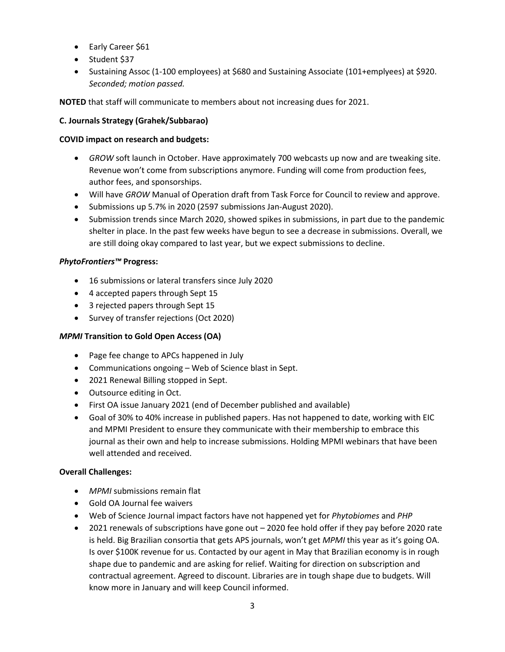- Early Career \$61
- Student \$37
- Sustaining Assoc (1-100 employees) at \$680 and Sustaining Associate (101+emplyees) at \$920. *Seconded; motion passed.*

**NOTED** that staff will communicate to members about not increasing dues for 2021.

## **C. Journals Strategy (Grahek/Subbarao)**

#### **COVID impact on research and budgets:**

- *GROW* soft launch in October. Have approximately 700 webcasts up now and are tweaking site. Revenue won't come from subscriptions anymore. Funding will come from production fees, author fees, and sponsorships.
- Will have *GROW* Manual of Operation draft from Task Force for Council to review and approve.
- Submissions up 5.7% in 2020 (2597 submissions Jan-August 2020).
- Submission trends since March 2020, showed spikes in submissions, in part due to the pandemic shelter in place. In the past few weeks have begun to see a decrease in submissions. Overall, we are still doing okay compared to last year, but we expect submissions to decline.

#### *PhytoFrontiers™* **Progress:**

- 16 submissions or lateral transfers since July 2020
- 4 accepted papers through Sept 15
- 3 rejected papers through Sept 15
- Survey of transfer rejections (Oct 2020)

#### *MPMI* **Transition to Gold Open Access (OA)**

- Page fee change to APCs happened in July
- Communications ongoing Web of Science blast in Sept.
- 2021 Renewal Billing stopped in Sept.
- Outsource editing in Oct.
- First OA issue January 2021 (end of December published and available)
- Goal of 30% to 40% increase in published papers. Has not happened to date, working with EIC and MPMI President to ensure they communicate with their membership to embrace this journal as their own and help to increase submissions. Holding MPMI webinars that have been well attended and received.

#### **Overall Challenges:**

- *MPMI* submissions remain flat
- Gold OA Journal fee waivers
- Web of Science Journal impact factors have not happened yet for *Phytobiomes* and *PHP*
- 2021 renewals of subscriptions have gone out 2020 fee hold offer if they pay before 2020 rate is held. Big Brazilian consortia that gets APS journals, won't get *MPMI* this year as it's going OA. Is over \$100K revenue for us. Contacted by our agent in May that Brazilian economy is in rough shape due to pandemic and are asking for relief. Waiting for direction on subscription and contractual agreement. Agreed to discount. Libraries are in tough shape due to budgets. Will know more in January and will keep Council informed.